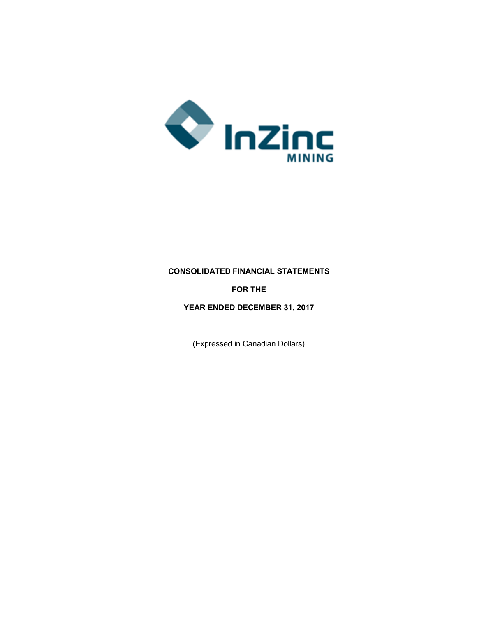

## **CONSOLIDATED FINANCIAL STATEMENTS**

## **FOR THE**

#### **YEAR ENDED DECEMBER 31, 2017**

(Expressed in Canadian Dollars)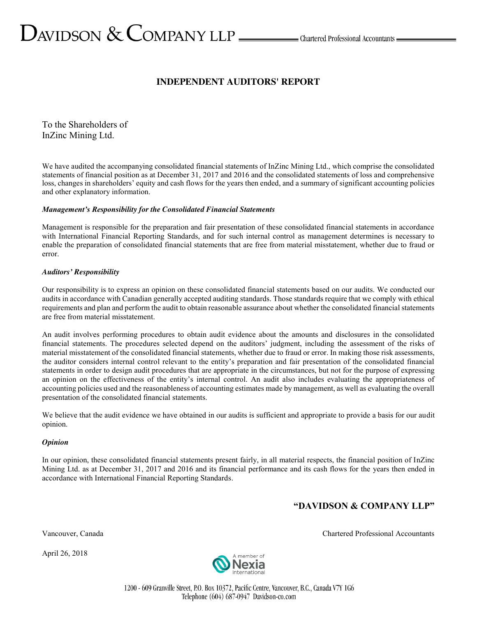# **INDEPENDENT AUDITORS' REPORT**

To the Shareholders of InZinc Mining Ltd.

We have audited the accompanying consolidated financial statements of InZinc Mining Ltd., which comprise the consolidated statements of financial position as at December 31, 2017 and 2016 and the consolidated statements of loss and comprehensive loss, changes in shareholders' equity and cash flows for the years then ended, and a summary of significant accounting policies and other explanatory information.

#### *Management's Responsibility for the Consolidated Financial Statements*

Management is responsible for the preparation and fair presentation of these consolidated financial statements in accordance with International Financial Reporting Standards, and for such internal control as management determines is necessary to enable the preparation of consolidated financial statements that are free from material misstatement, whether due to fraud or error.

#### *Auditors' Responsibility*

Our responsibility is to express an opinion on these consolidated financial statements based on our audits. We conducted our audits in accordance with Canadian generally accepted auditing standards. Those standards require that we comply with ethical requirements and plan and perform the audit to obtain reasonable assurance about whether the consolidated financial statements are free from material misstatement.

An audit involves performing procedures to obtain audit evidence about the amounts and disclosures in the consolidated financial statements. The procedures selected depend on the auditors' judgment, including the assessment of the risks of material misstatement of the consolidated financial statements, whether due to fraud or error. In making those risk assessments, the auditor considers internal control relevant to the entity's preparation and fair presentation of the consolidated financial statements in order to design audit procedures that are appropriate in the circumstances, but not for the purpose of expressing an opinion on the effectiveness of the entity's internal control. An audit also includes evaluating the appropriateness of accounting policies used and the reasonableness of accounting estimates made by management, as well as evaluating the overall presentation of the consolidated financial statements.

We believe that the audit evidence we have obtained in our audits is sufficient and appropriate to provide a basis for our audit opinion.

#### *Opinion*

In our opinion, these consolidated financial statements present fairly, in all material respects, the financial position of InZinc Mining Ltd. as at December 31, 2017 and 2016 and its financial performance and its cash flows for the years then ended in accordance with International Financial Reporting Standards.

# **"DAVIDSON & COMPANY LLP"**

April 26, 2018



Vancouver, Canada Chartered Professional Accountants

1200 - 609 Granville Street, P.O. Box 10372, Pacific Centre, Vancouver, B.C., Canada V7Y 1G6 Telephone (604) 687-0947 Davidson-co.com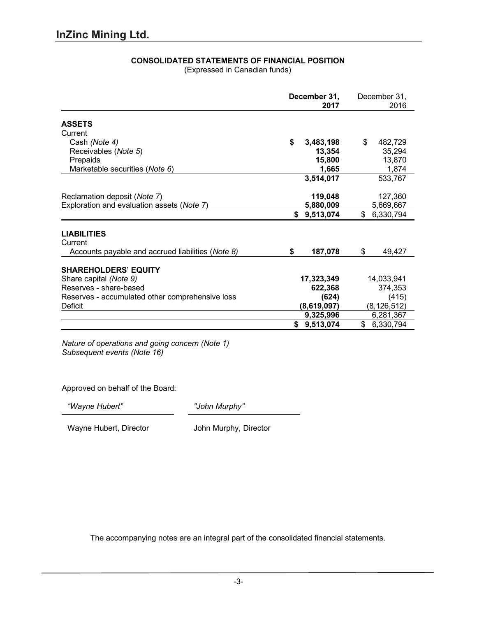# **CONSOLIDATED STATEMENTS OF FINANCIAL POSITION**

(Expressed in Canadian funds)

|                                                   | December 31,<br>2017 | December 31,<br>2016 |
|---------------------------------------------------|----------------------|----------------------|
| <b>ASSETS</b>                                     |                      |                      |
| Current                                           |                      |                      |
| Cash (Note 4)                                     | \$<br>3,483,198      | \$<br>482,729        |
| Receivables (Note 5)                              | 13,354               | 35,294               |
| Prepaids                                          | 15,800               | 13,870               |
| Marketable securities (Note 6)                    | 1,665                | 1,874                |
|                                                   | 3,514,017            | 533,767              |
| Reclamation deposit (Note 7)                      | 119,048              | 127,360              |
| Exploration and evaluation assets (Note 7)        | 5,880,009            | 5,669,667            |
|                                                   | \$<br>9,513,074      | \$<br>6,330,794      |
|                                                   |                      |                      |
| <b>LIABILITIES</b>                                |                      |                      |
| Current                                           |                      |                      |
| Accounts payable and accrued liabilities (Note 8) | \$<br>187,078        | \$<br>49,427         |
| <b>SHAREHOLDERS' EQUITY</b>                       |                      |                      |
|                                                   |                      | 14,033,941           |
| Share capital (Note 9)                            | 17,323,349           |                      |
| Reserves - share-based                            | 622,368              | 374,353              |
| Reserves - accumulated other comprehensive loss   | (624)                | (415)                |
| Deficit                                           | (8,619,097)          | (8, 126, 512)        |
|                                                   | 9,325,996            | 6,281,367            |
|                                                   | 9,513,074<br>\$      | \$<br>6,330,794      |

*Nature of operations and going concern (Note 1) Subsequent events (Note 16)*

Approved on behalf of the Board:

*"Wayne Hubert" "John Murphy"*

Wayne Hubert, Director **John Murphy, Director**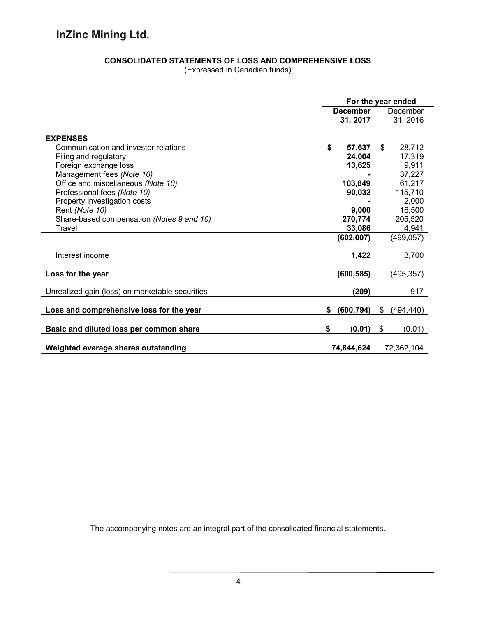## **CONSOLIDATED STATEMENTS OF LOSS AND COMPREHENSIVE LOSS**

(Expressed in Canadian funds)

|                                                 | For the year ended |                 |    |            |
|-------------------------------------------------|--------------------|-----------------|----|------------|
|                                                 |                    | <b>December</b> |    | December   |
|                                                 |                    | 31, 2017        |    | 31, 2016   |
| <b>EXPENSES</b>                                 |                    |                 |    |            |
| Communication and investor relations            | \$                 |                 | \$ |            |
|                                                 |                    | 57,637          |    | 28,712     |
| Filing and regulatory                           |                    | 24,004          |    | 17,319     |
| Foreign exchange loss                           |                    | 13,625          |    | 9,911      |
| Management fees (Note 10)                       |                    |                 |    | 37,227     |
| Office and miscellaneous (Note 10)              |                    | 103,849         |    | 61,217     |
| Professional fees (Note 10)                     |                    | 90,032          |    | 115,710    |
| Property investigation costs                    |                    |                 |    | 2,000      |
| Rent (Note 10)                                  |                    | 9,000           |    | 16,500     |
| Share-based compensation (Notes 9 and 10)       |                    | 270,774         |    | 205,520    |
| Travel                                          |                    | 33,086          |    | 4,941      |
|                                                 |                    | (602, 007)      |    | (499, 057) |
|                                                 |                    |                 |    |            |
| Interest income                                 |                    | 1,422           |    | 3,700      |
| Loss for the year                               |                    | (600, 585)      |    | (495, 357) |
| Unrealized gain (loss) on marketable securities |                    | (209)           |    | 917        |
| Loss and comprehensive loss for the year        | S.                 | (600, 794)      | S. | (494, 440) |
| Basic and diluted loss per common share         | \$                 | (0.01)          | \$ | (0.01)     |
| Weighted average shares outstanding             |                    | 74,844,624      |    | 72,362,104 |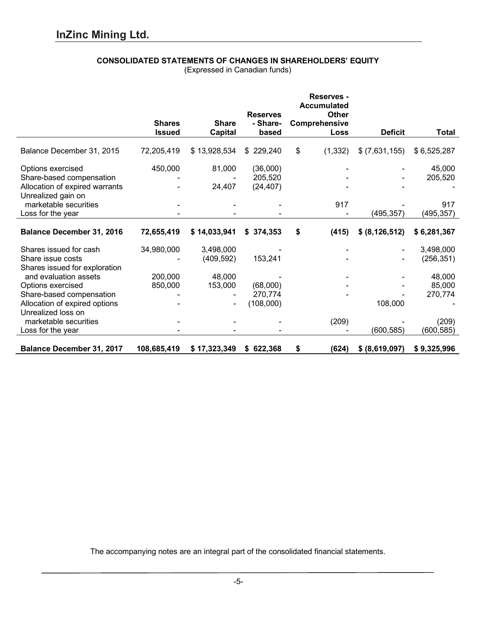|  |  |  | <b>CONSOLIDATED STATEMENTS OF CHANGES IN SHAREHOLDERS' EQUITY</b> |
|--|--|--|-------------------------------------------------------------------|
|  |  |  |                                                                   |

(Expressed in Canadian funds)

|                                                                             |                                |                                | <b>Reserves</b>      | <b>Reserves -</b><br><b>Accumulated</b><br><b>Other</b> |                  |                         |
|-----------------------------------------------------------------------------|--------------------------------|--------------------------------|----------------------|---------------------------------------------------------|------------------|-------------------------|
|                                                                             | <b>Shares</b><br><b>Issued</b> | <b>Share</b><br><b>Capital</b> | - Share-<br>based    | Comprehensive<br>Loss                                   | <b>Deficit</b>   | Total                   |
| Balance December 31, 2015                                                   | 72,205,419                     | \$13,928,534                   | \$229,240            | \$<br>(1, 332)                                          | \$(7,631,155)    | \$6,525,287             |
| Options exercised<br>Share-based compensation                               | 450,000                        | 81,000                         | (36,000)<br>205,520  |                                                         |                  | 45,000<br>205,520       |
| Allocation of expired warrants<br>Unrealized gain on                        |                                | 24,407                         | (24, 407)            |                                                         |                  |                         |
| marketable securities<br>Loss for the year                                  |                                |                                |                      | 917                                                     | (495,357)        | 917<br>(495,357)        |
| <b>Balance December 31, 2016</b>                                            | 72,655,419                     | \$14,033,941                   | \$374,353            | \$<br>(415)                                             | \$ (8, 126, 512) | \$6,281,367             |
| Shares issued for cash<br>Share issue costs                                 | 34,980,000                     | 3,498,000<br>(409, 592)        | 153,241              |                                                         |                  | 3,498,000<br>(256, 351) |
| Shares issued for exploration<br>and evaluation assets<br>Options exercised | 200,000<br>850,000             | 48,000<br>153,000              | (68,000)             |                                                         |                  | 48,000<br>85,000        |
| Share-based compensation<br>Allocation of expired options                   |                                |                                | 270,774<br>(108,000) |                                                         | 108,000          | 270,774                 |
| Unrealized loss on<br>marketable securities<br>Loss for the year            |                                |                                |                      | (209)                                                   | (600, 585)       | (209)<br>(600, 585)     |
| <b>Balance December 31, 2017</b>                                            | 108,685,419                    | \$17,323,349                   | \$622,368            | (624)<br>\$                                             | \$ (8,619,097)   | \$9,325,996             |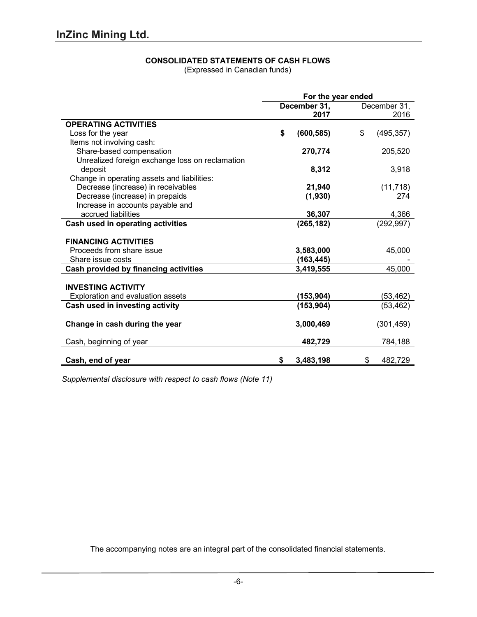## **CONSOLIDATED STATEMENTS OF CASH FLOWS**

(Expressed in Canadian funds)

|                                                 | For the year ended |              |      |              |
|-------------------------------------------------|--------------------|--------------|------|--------------|
|                                                 |                    | December 31, |      | December 31, |
|                                                 | 2017               |              | 2016 |              |
| <b>OPERATING ACTIVITIES</b>                     |                    |              |      |              |
| Loss for the year                               | \$                 | (600, 585)   | \$   | (495, 357)   |
| Items not involving cash:                       |                    |              |      |              |
| Share-based compensation                        |                    | 270,774      |      | 205,520      |
| Unrealized foreign exchange loss on reclamation |                    |              |      |              |
| deposit                                         |                    | 8,312        |      | 3,918        |
| Change in operating assets and liabilities:     |                    |              |      |              |
| Decrease (increase) in receivables              |                    | 21,940       |      | (11, 718)    |
| Decrease (increase) in prepaids                 |                    | (1,930)      |      | 274          |
| Increase in accounts payable and                |                    |              |      |              |
| accrued liabilities                             |                    | 36,307       |      | 4,366        |
| <b>Cash used in operating activities</b>        |                    | (265, 182)   |      | (292, 997)   |
|                                                 |                    |              |      |              |
| <b>FINANCING ACTIVITIES</b>                     |                    |              |      |              |
| Proceeds from share issue                       |                    | 3,583,000    |      | 45,000       |
| Share issue costs                               |                    | (163, 445)   |      |              |
| Cash provided by financing activities           |                    | 3,419,555    |      | 45,000       |
|                                                 |                    |              |      |              |
| <b>INVESTING ACTIVITY</b>                       |                    |              |      |              |
| Exploration and evaluation assets               |                    | (153, 904)   |      | (53, 462)    |
| Cash used in investing activity                 |                    | (153, 904)   |      | (53,462)     |
|                                                 |                    |              |      |              |
| Change in cash during the year                  |                    | 3,000,469    |      | (301, 459)   |
|                                                 |                    |              |      |              |
| Cash, beginning of year                         |                    | 482,729      |      | 784,188      |
|                                                 |                    |              |      |              |
| Cash, end of year                               | \$                 | 3,483,198    | S    | 482,729      |

*Supplemental disclosure with respect to cash flows (Note 11)*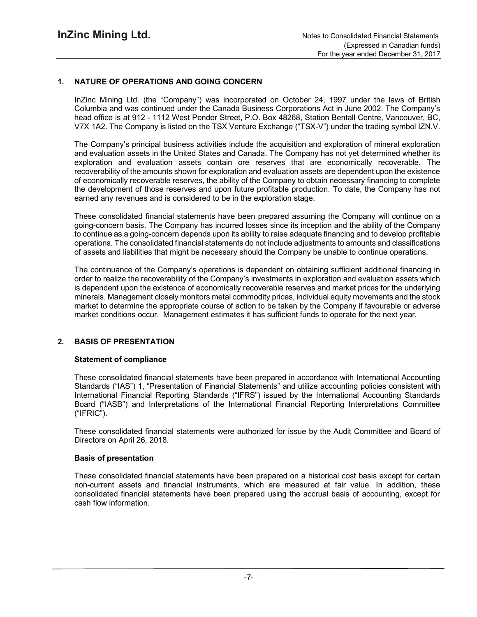## **1. NATURE OF OPERATIONS AND GOING CONCERN**

InZinc Mining Ltd. (the "Company") was incorporated on October 24, 1997 under the laws of British Columbia and was continued under the Canada Business Corporations Act in June 2002. The Company's head office is at 912 - 1112 West Pender Street, P.O. Box 48268, Station Bentall Centre, Vancouver, BC, V7X 1A2. The Company is listed on the TSX Venture Exchange ("TSX-V") under the trading symbol IZN.V.

The Company's principal business activities include the acquisition and exploration of mineral exploration and evaluation assets in the United States and Canada. The Company has not yet determined whether its exploration and evaluation assets contain ore reserves that are economically recoverable. The recoverability of the amounts shown for exploration and evaluation assets are dependent upon the existence of economically recoverable reserves, the ability of the Company to obtain necessary financing to complete the development of those reserves and upon future profitable production. To date, the Company has not earned any revenues and is considered to be in the exploration stage.

These consolidated financial statements have been prepared assuming the Company will continue on a going-concern basis. The Company has incurred losses since its inception and the ability of the Company to continue as a going-concern depends upon its ability to raise adequate financing and to develop profitable operations. The consolidated financial statements do not include adjustments to amounts and classifications of assets and liabilities that might be necessary should the Company be unable to continue operations.

The continuance of the Company's operations is dependent on obtaining sufficient additional financing in order to realize the recoverability of the Company's investments in exploration and evaluation assets which is dependent upon the existence of economically recoverable reserves and market prices for the underlying minerals. Management closely monitors metal commodity prices, individual equity movements and the stock market to determine the appropriate course of action to be taken by the Company if favourable or adverse market conditions occur. Management estimates it has sufficient funds to operate for the next year.

### **2. BASIS OF PRESENTATION**

### **Statement of compliance**

These consolidated financial statements have been prepared in accordance with International Accounting Standards ("IAS") 1, "Presentation of Financial Statements" and utilize accounting policies consistent with International Financial Reporting Standards ("IFRS") issued by the International Accounting Standards Board ("IASB") and Interpretations of the International Financial Reporting Interpretations Committee ("IFRIC").

These consolidated financial statements were authorized for issue by the Audit Committee and Board of Directors on April 26, 2018.

#### **Basis of presentation**

These consolidated financial statements have been prepared on a historical cost basis except for certain non-current assets and financial instruments, which are measured at fair value. In addition, these consolidated financial statements have been prepared using the accrual basis of accounting, except for cash flow information.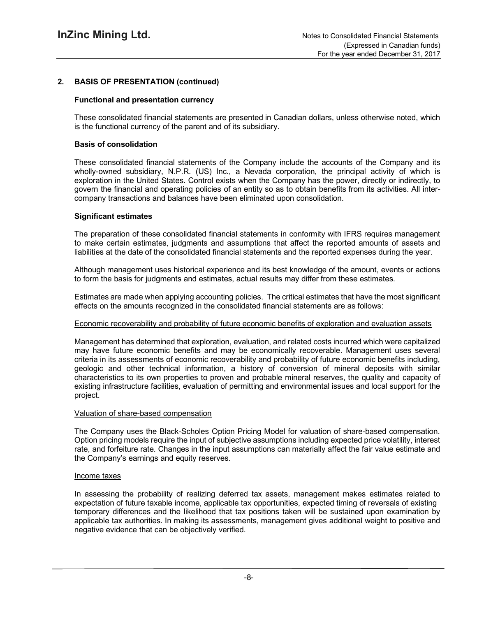## **2. BASIS OF PRESENTATION (continued)**

#### **Functional and presentation currency**

These consolidated financial statements are presented in Canadian dollars, unless otherwise noted, which is the functional currency of the parent and of its subsidiary.

#### **Basis of consolidation**

These consolidated financial statements of the Company include the accounts of the Company and its wholly-owned subsidiary, N.P.R. (US) Inc., a Nevada corporation, the principal activity of which is exploration in the United States. Control exists when the Company has the power, directly or indirectly, to govern the financial and operating policies of an entity so as to obtain benefits from its activities. All intercompany transactions and balances have been eliminated upon consolidation.

#### **Significant estimates**

The preparation of these consolidated financial statements in conformity with IFRS requires management to make certain estimates, judgments and assumptions that affect the reported amounts of assets and liabilities at the date of the consolidated financial statements and the reported expenses during the year.

Although management uses historical experience and its best knowledge of the amount, events or actions to form the basis for judgments and estimates, actual results may differ from these estimates.

Estimates are made when applying accounting policies. The critical estimates that have the most significant effects on the amounts recognized in the consolidated financial statements are as follows:

#### Economic recoverability and probability of future economic benefits of exploration and evaluation assets

Management has determined that exploration, evaluation, and related costs incurred which were capitalized may have future economic benefits and may be economically recoverable. Management uses several criteria in its assessments of economic recoverability and probability of future economic benefits including, geologic and other technical information, a history of conversion of mineral deposits with similar characteristics to its own properties to proven and probable mineral reserves, the quality and capacity of existing infrastructure facilities, evaluation of permitting and environmental issues and local support for the project.

#### Valuation of share-based compensation

The Company uses the Black-Scholes Option Pricing Model for valuation of share-based compensation. Option pricing models require the input of subjective assumptions including expected price volatility, interest rate, and forfeiture rate. Changes in the input assumptions can materially affect the fair value estimate and the Company's earnings and equity reserves.

#### Income taxes

In assessing the probability of realizing deferred tax assets, management makes estimates related to expectation of future taxable income, applicable tax opportunities, expected timing of reversals of existing temporary differences and the likelihood that tax positions taken will be sustained upon examination by applicable tax authorities. In making its assessments, management gives additional weight to positive and negative evidence that can be objectively verified.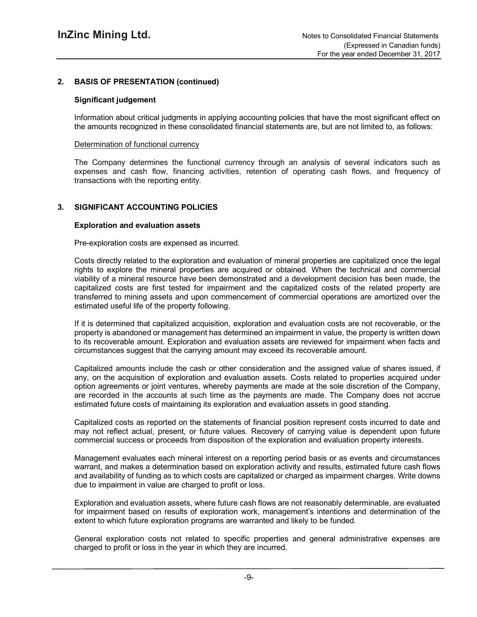## **2. BASIS OF PRESENTATION (continued)**

#### **Significant judgement**

Information about critical judgments in applying accounting policies that have the most significant effect on the amounts recognized in these consolidated financial statements are, but are not limited to, as follows:

#### Determination of functional currency

The Company determines the functional currency through an analysis of several indicators such as expenses and cash flow, financing activities, retention of operating cash flows, and frequency of transactions with the reporting entity.

### **3. SIGNIFICANT ACCOUNTING POLICIES**

#### **Exploration and evaluation assets**

Pre-exploration costs are expensed as incurred.

Costs directly related to the exploration and evaluation of mineral properties are capitalized once the legal rights to explore the mineral properties are acquired or obtained. When the technical and commercial viability of a mineral resource have been demonstrated and a development decision has been made, the capitalized costs are first tested for impairment and the capitalized costs of the related property are transferred to mining assets and upon commencement of commercial operations are amortized over the estimated useful life of the property following.

If it is determined that capitalized acquisition, exploration and evaluation costs are not recoverable, or the property is abandoned or management has determined an impairment in value, the property is written down to its recoverable amount. Exploration and evaluation assets are reviewed for impairment when facts and circumstances suggest that the carrying amount may exceed its recoverable amount.

Capitalized amounts include the cash or other consideration and the assigned value of shares issued, if any, on the acquisition of exploration and evaluation assets. Costs related to properties acquired under option agreements or joint ventures, whereby payments are made at the sole discretion of the Company, are recorded in the accounts at such time as the payments are made. The Company does not accrue estimated future costs of maintaining its exploration and evaluation assets in good standing.

Capitalized costs as reported on the statements of financial position represent costs incurred to date and may not reflect actual, present, or future values. Recovery of carrying value is dependent upon future commercial success or proceeds from disposition of the exploration and evaluation property interests.

Management evaluates each mineral interest on a reporting period basis or as events and circumstances warrant, and makes a determination based on exploration activity and results, estimated future cash flows and availability of funding as to which costs are capitalized or charged as impairment charges. Write downs due to impairment in value are charged to profit or loss.

Exploration and evaluation assets, where future cash flows are not reasonably determinable, are evaluated for impairment based on results of exploration work, management's intentions and determination of the extent to which future exploration programs are warranted and likely to be funded.

General exploration costs not related to specific properties and general administrative expenses are charged to profit or loss in the year in which they are incurred.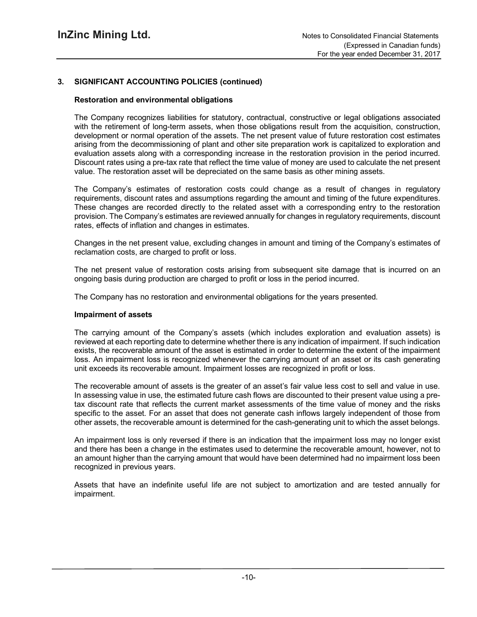## **Restoration and environmental obligations**

The Company recognizes liabilities for statutory, contractual, constructive or legal obligations associated with the retirement of long-term assets, when those obligations result from the acquisition, construction, development or normal operation of the assets. The net present value of future restoration cost estimates arising from the decommissioning of plant and other site preparation work is capitalized to exploration and evaluation assets along with a corresponding increase in the restoration provision in the period incurred. Discount rates using a pre-tax rate that reflect the time value of money are used to calculate the net present value. The restoration asset will be depreciated on the same basis as other mining assets.

The Company's estimates of restoration costs could change as a result of changes in regulatory requirements, discount rates and assumptions regarding the amount and timing of the future expenditures. These changes are recorded directly to the related asset with a corresponding entry to the restoration provision. The Company's estimates are reviewed annually for changes in regulatory requirements, discount rates, effects of inflation and changes in estimates.

Changes in the net present value, excluding changes in amount and timing of the Company's estimates of reclamation costs, are charged to profit or loss.

The net present value of restoration costs arising from subsequent site damage that is incurred on an ongoing basis during production are charged to profit or loss in the period incurred.

The Company has no restoration and environmental obligations for the years presented.

### **Impairment of assets**

The carrying amount of the Company's assets (which includes exploration and evaluation assets) is reviewed at each reporting date to determine whether there is any indication of impairment. If such indication exists, the recoverable amount of the asset is estimated in order to determine the extent of the impairment loss. An impairment loss is recognized whenever the carrying amount of an asset or its cash generating unit exceeds its recoverable amount. Impairment losses are recognized in profit or loss.

The recoverable amount of assets is the greater of an asset's fair value less cost to sell and value in use. In assessing value in use, the estimated future cash flows are discounted to their present value using a pretax discount rate that reflects the current market assessments of the time value of money and the risks specific to the asset. For an asset that does not generate cash inflows largely independent of those from other assets, the recoverable amount is determined for the cash-generating unit to which the asset belongs.

An impairment loss is only reversed if there is an indication that the impairment loss may no longer exist and there has been a change in the estimates used to determine the recoverable amount, however, not to an amount higher than the carrying amount that would have been determined had no impairment loss been recognized in previous years.

Assets that have an indefinite useful life are not subject to amortization and are tested annually for impairment.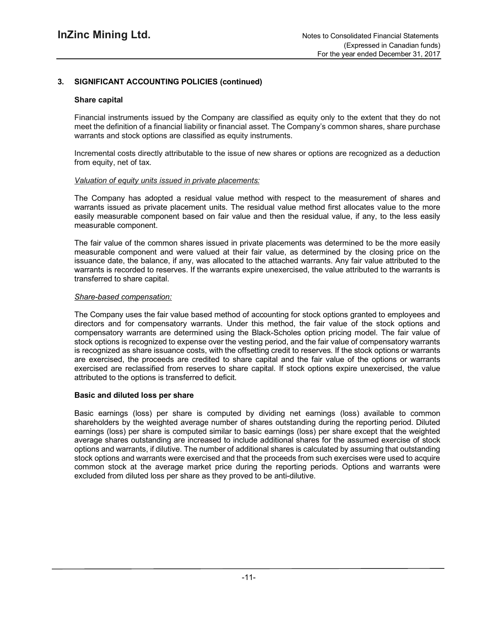#### **Share capital**

Financial instruments issued by the Company are classified as equity only to the extent that they do not meet the definition of a financial liability or financial asset. The Company's common shares, share purchase warrants and stock options are classified as equity instruments.

Incremental costs directly attributable to the issue of new shares or options are recognized as a deduction from equity, net of tax.

#### *Valuation of equity units issued in private placements:*

The Company has adopted a residual value method with respect to the measurement of shares and warrants issued as private placement units. The residual value method first allocates value to the more easily measurable component based on fair value and then the residual value, if any, to the less easily measurable component.

The fair value of the common shares issued in private placements was determined to be the more easily measurable component and were valued at their fair value, as determined by the closing price on the issuance date, the balance, if any, was allocated to the attached warrants. Any fair value attributed to the warrants is recorded to reserves. If the warrants expire unexercised, the value attributed to the warrants is transferred to share capital.

#### *Share-based compensation:*

The Company uses the fair value based method of accounting for stock options granted to employees and directors and for compensatory warrants. Under this method, the fair value of the stock options and compensatory warrants are determined using the Black-Scholes option pricing model. The fair value of stock options is recognized to expense over the vesting period, and the fair value of compensatory warrants is recognized as share issuance costs, with the offsetting credit to reserves. If the stock options or warrants are exercised, the proceeds are credited to share capital and the fair value of the options or warrants exercised are reclassified from reserves to share capital. If stock options expire unexercised, the value attributed to the options is transferred to deficit.

#### **Basic and diluted loss per share**

Basic earnings (loss) per share is computed by dividing net earnings (loss) available to common shareholders by the weighted average number of shares outstanding during the reporting period. Diluted earnings (loss) per share is computed similar to basic earnings (loss) per share except that the weighted average shares outstanding are increased to include additional shares for the assumed exercise of stock options and warrants, if dilutive. The number of additional shares is calculated by assuming that outstanding stock options and warrants were exercised and that the proceeds from such exercises were used to acquire common stock at the average market price during the reporting periods. Options and warrants were excluded from diluted loss per share as they proved to be anti-dilutive.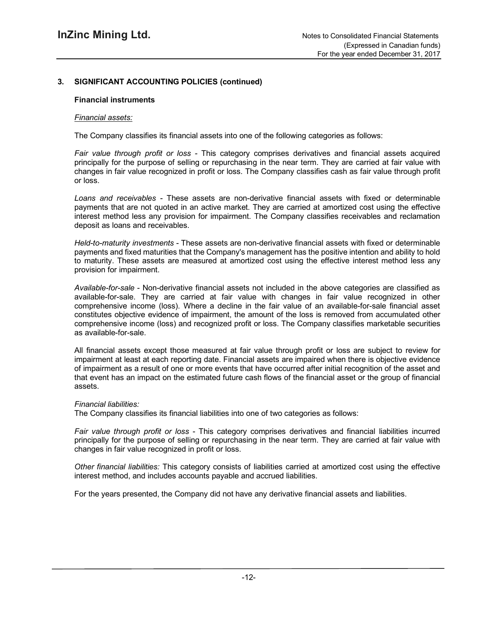#### **Financial instruments**

#### *Financial assets:*

The Company classifies its financial assets into one of the following categories as follows:

*Fair value through profit or loss -* This category comprises derivatives and financial assets acquired principally for the purpose of selling or repurchasing in the near term. They are carried at fair value with changes in fair value recognized in profit or loss. The Company classifies cash as fair value through profit or loss.

*Loans and receivables -* These assets are non-derivative financial assets with fixed or determinable payments that are not quoted in an active market. They are carried at amortized cost using the effective interest method less any provision for impairment. The Company classifies receivables and reclamation deposit as loans and receivables.

*Held-to-maturity investments* - These assets are non-derivative financial assets with fixed or determinable payments and fixed maturities that the Company's management has the positive intention and ability to hold to maturity. These assets are measured at amortized cost using the effective interest method less any provision for impairment.

*Available-for-sale* - Non-derivative financial assets not included in the above categories are classified as available-for-sale. They are carried at fair value with changes in fair value recognized in other comprehensive income (loss). Where a decline in the fair value of an available-for-sale financial asset constitutes objective evidence of impairment, the amount of the loss is removed from accumulated other comprehensive income (loss) and recognized profit or loss. The Company classifies marketable securities as available-for-sale.

All financial assets except those measured at fair value through profit or loss are subject to review for impairment at least at each reporting date. Financial assets are impaired when there is objective evidence of impairment as a result of one or more events that have occurred after initial recognition of the asset and that event has an impact on the estimated future cash flows of the financial asset or the group of financial assets.

#### *Financial liabilities:*

The Company classifies its financial liabilities into one of two categories as follows:

*Fair value through profit or loss* - This category comprises derivatives and financial liabilities incurred principally for the purpose of selling or repurchasing in the near term. They are carried at fair value with changes in fair value recognized in profit or loss.

*Other financial liabilities:* This category consists of liabilities carried at amortized cost using the effective interest method, and includes accounts payable and accrued liabilities.

For the years presented, the Company did not have any derivative financial assets and liabilities.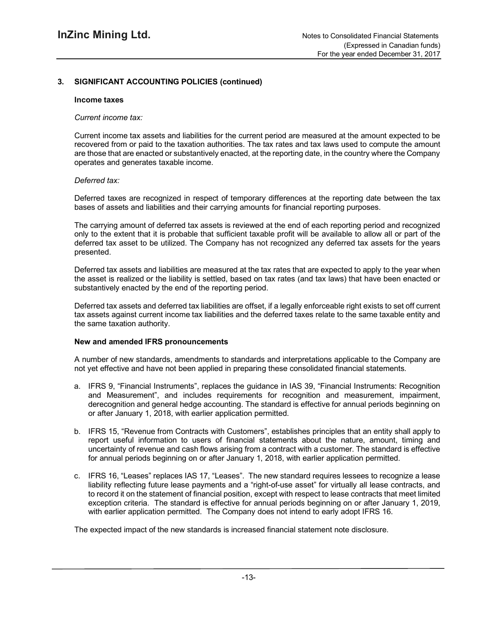#### **Income taxes**

#### *Current income tax:*

Current income tax assets and liabilities for the current period are measured at the amount expected to be recovered from or paid to the taxation authorities. The tax rates and tax laws used to compute the amount are those that are enacted or substantively enacted, at the reporting date, in the country where the Company operates and generates taxable income.

#### *Deferred tax:*

Deferred taxes are recognized in respect of temporary differences at the reporting date between the tax bases of assets and liabilities and their carrying amounts for financial reporting purposes.

The carrying amount of deferred tax assets is reviewed at the end of each reporting period and recognized only to the extent that it is probable that sufficient taxable profit will be available to allow all or part of the deferred tax asset to be utilized. The Company has not recognized any deferred tax assets for the years presented.

Deferred tax assets and liabilities are measured at the tax rates that are expected to apply to the year when the asset is realized or the liability is settled, based on tax rates (and tax laws) that have been enacted or substantively enacted by the end of the reporting period.

Deferred tax assets and deferred tax liabilities are offset, if a legally enforceable right exists to set off current tax assets against current income tax liabilities and the deferred taxes relate to the same taxable entity and the same taxation authority.

#### **New and amended IFRS pronouncements**

A number of new standards, amendments to standards and interpretations applicable to the Company are not yet effective and have not been applied in preparing these consolidated financial statements.

- a. IFRS 9, "Financial Instruments", replaces the guidance in IAS 39, "Financial Instruments: Recognition and Measurement", and includes requirements for recognition and measurement, impairment, derecognition and general hedge accounting. The standard is effective for annual periods beginning on or after January 1, 2018, with earlier application permitted.
- b. IFRS 15, "Revenue from Contracts with Customers", establishes principles that an entity shall apply to report useful information to users of financial statements about the nature, amount, timing and uncertainty of revenue and cash flows arising from a contract with a customer. The standard is effective for annual periods beginning on or after January 1, 2018, with earlier application permitted.
- c. IFRS 16, "Leases" replaces IAS 17, "Leases". The new standard requires lessees to recognize a lease liability reflecting future lease payments and a "right-of-use asset" for virtually all lease contracts, and to record it on the statement of financial position, except with respect to lease contracts that meet limited exception criteria. The standard is effective for annual periods beginning on or after January 1, 2019, with earlier application permitted. The Company does not intend to early adopt IFRS 16.

The expected impact of the new standards is increased financial statement note disclosure.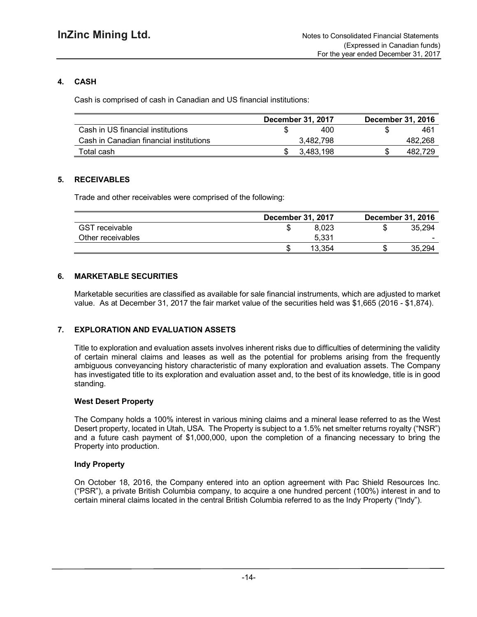## **4. CASH**

Cash is comprised of cash in Canadian and US financial institutions:

|                                         | <b>December 31, 2017</b> |           | <b>December 31, 2016</b> |
|-----------------------------------------|--------------------------|-----------|--------------------------|
| Cash in US financial institutions       |                          | 400       | 461                      |
| Cash in Canadian financial institutions |                          | 3.482.798 | 482.268                  |
| Total cash_                             |                          | 3.483.198 | 482.729                  |

## **5. RECEIVABLES**

Trade and other receivables were comprised of the following:

|                       | <b>December 31, 2017</b> |        | <b>December 31, 2016</b> |
|-----------------------|--------------------------|--------|--------------------------|
| <b>GST</b> receivable |                          | 8.023  | 35.294                   |
| Other receivables     |                          | 5.331  | $\,$                     |
|                       |                          | 13,354 | 35,294                   |

## **6. MARKETABLE SECURITIES**

Marketable securities are classified as available for sale financial instruments, which are adjusted to market value. As at December 31, 2017 the fair market value of the securities held was \$1,665 (2016 - \$1,874).

## **7. EXPLORATION AND EVALUATION ASSETS**

Title to exploration and evaluation assets involves inherent risks due to difficulties of determining the validity of certain mineral claims and leases as well as the potential for problems arising from the frequently ambiguous conveyancing history characteristic of many exploration and evaluation assets. The Company has investigated title to its exploration and evaluation asset and, to the best of its knowledge, title is in good standing.

### **West Desert Property**

The Company holds a 100% interest in various mining claims and a mineral lease referred to as the West Desert property, located in Utah, USA. The Property is subject to a 1.5% net smelter returns royalty ("NSR") and a future cash payment of \$1,000,000, upon the completion of a financing necessary to bring the Property into production.

### **Indy Property**

On October 18, 2016, the Company entered into an option agreement with Pac Shield Resources Inc. ("PSR"), a private British Columbia company, to acquire a one hundred percent (100%) interest in and to certain mineral claims located in the central British Columbia referred to as the Indy Property ("Indy").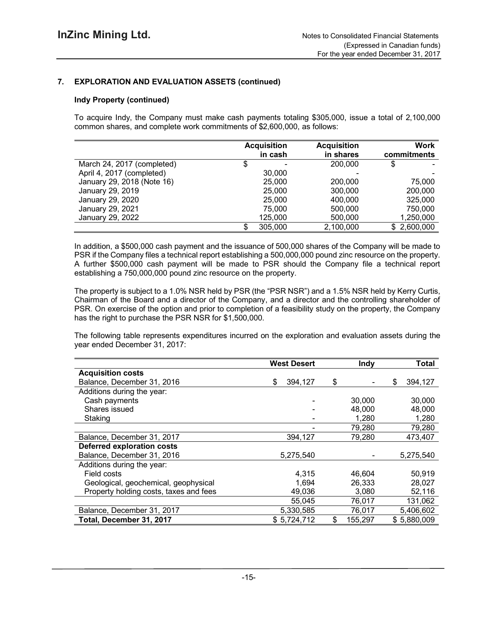## **7. EXPLORATION AND EVALUATION ASSETS (continued)**

### **Indy Property (continued)**

To acquire Indy, the Company must make cash payments totaling \$305,000, issue a total of 2,100,000 common shares, and complete work commitments of \$2,600,000, as follows:

|                            | <b>Acquisition</b><br>in cash | <b>Acquisition</b><br>in shares | <b>Work</b><br>commitments |
|----------------------------|-------------------------------|---------------------------------|----------------------------|
| March 24, 2017 (completed) |                               | 200,000                         |                            |
| April 4, 2017 (completed)  | 30,000                        |                                 |                            |
| January 29, 2018 (Note 16) | 25,000                        | 200,000                         | 75,000                     |
| January 29, 2019           | 25,000                        | 300,000                         | 200,000                    |
| January 29, 2020           | 25,000                        | 400,000                         | 325,000                    |
| January 29, 2021           | 75,000                        | 500,000                         | 750,000                    |
| January 29, 2022           | 125,000                       | 500,000                         | 1,250,000                  |
|                            | 305,000                       | 2,100,000                       | 2,600,000<br>\$.           |

In addition, a \$500,000 cash payment and the issuance of 500,000 shares of the Company will be made to PSR if the Company files a technical report establishing a 500,000,000 pound zinc resource on the property. A further \$500,000 cash payment will be made to PSR should the Company file a technical report establishing a 750,000,000 pound zinc resource on the property.

The property is subject to a 1.0% NSR held by PSR (the "PSR NSR") and a 1.5% NSR held by Kerry Curtis, Chairman of the Board and a director of the Company, and a director and the controlling shareholder of PSR. On exercise of the option and prior to completion of a feasibility study on the property, the Company has the right to purchase the PSR NSR for \$1,500,000.

The following table represents expenditures incurred on the exploration and evaluation assets during the year ended December 31, 2017:

|                                        | <b>West Desert</b> | Indy          | <b>Total</b>  |
|----------------------------------------|--------------------|---------------|---------------|
| <b>Acquisition costs</b>               |                    |               |               |
| Balance, December 31, 2016             | \$<br>394,127      | \$            | \$<br>394,127 |
| Additions during the year:             |                    |               |               |
| Cash payments                          |                    | 30,000        | 30,000        |
| Shares issued                          |                    | 48,000        | 48,000        |
| Staking                                |                    | 1,280         | 1,280         |
|                                        |                    | 79,280        | 79,280        |
| Balance, December 31, 2017             | 394,127            | 79,280        | 473,407       |
| <b>Deferred exploration costs</b>      |                    |               |               |
| Balance, December 31, 2016             | 5,275,540          |               | 5,275,540     |
| Additions during the year:             |                    |               |               |
| Field costs                            | 4,315              | 46,604        | 50,919        |
| Geological, geochemical, geophysical   | 1,694              | 26,333        | 28,027        |
| Property holding costs, taxes and fees | 49,036             | 3,080         | 52,116        |
|                                        | 55,045             | 76,017        | 131,062       |
| Balance, December 31, 2017             | 5,330,585          | 76,017        | 5,406,602     |
| Total, December 31, 2017               | \$5,724,712        | \$<br>155,297 | \$5,880,009   |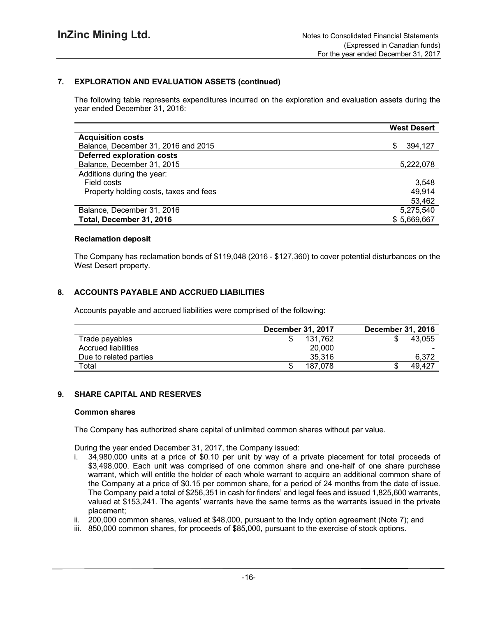## **7. EXPLORATION AND EVALUATION ASSETS (continued)**

The following table represents expenditures incurred on the exploration and evaluation assets during the year ended December 31, 2016:

|                                        | <b>West Desert</b> |
|----------------------------------------|--------------------|
| <b>Acquisition costs</b>               |                    |
| Balance, December 31, 2016 and 2015    | 394,127<br>S       |
| <b>Deferred exploration costs</b>      |                    |
| Balance, December 31, 2015             | 5,222,078          |
| Additions during the year:             |                    |
| Field costs                            | 3,548              |
| Property holding costs, taxes and fees | 49,914             |
|                                        | 53,462             |
| Balance, December 31, 2016             | 5,275,540          |
| Total, December 31, 2016               | \$5,669,667        |

#### **Reclamation deposit**

The Company has reclamation bonds of \$119,048 (2016 - \$127,360) to cover potential disturbances on the West Desert property.

#### **8. ACCOUNTS PAYABLE AND ACCRUED LIABILITIES**

Accounts payable and accrued liabilities were comprised of the following:

|                        | December 31, 2017 | <b>December 31, 2016</b> |
|------------------------|-------------------|--------------------------|
| Trade payables         | 131.762           | 43.055                   |
| Accrued liabilities    | 20,000            | $\overline{\phantom{0}}$ |
| Due to related parties | 35.316            | 6.372                    |
| Total                  | 187.078           | 49.427                   |

#### **9. SHARE CAPITAL AND RESERVES**

#### **Common shares**

The Company has authorized share capital of unlimited common shares without par value.

During the year ended December 31, 2017, the Company issued:

- i. 34,980,000 units at a price of \$0.10 per unit by way of a private placement for total proceeds of \$3,498,000. Each unit was comprised of one common share and one-half of one share purchase warrant, which will entitle the holder of each whole warrant to acquire an additional common share of the Company at a price of \$0.15 per common share, for a period of 24 months from the date of issue. The Company paid a total of \$256,351 in cash for finders' and legal fees and issued 1,825,600 warrants, valued at \$153,241. The agents' warrants have the same terms as the warrants issued in the private placement;
- ii. 200,000 common shares, valued at \$48,000, pursuant to the Indy option agreement (Note 7); and
- iii. 850,000 common shares, for proceeds of \$85,000, pursuant to the exercise of stock options.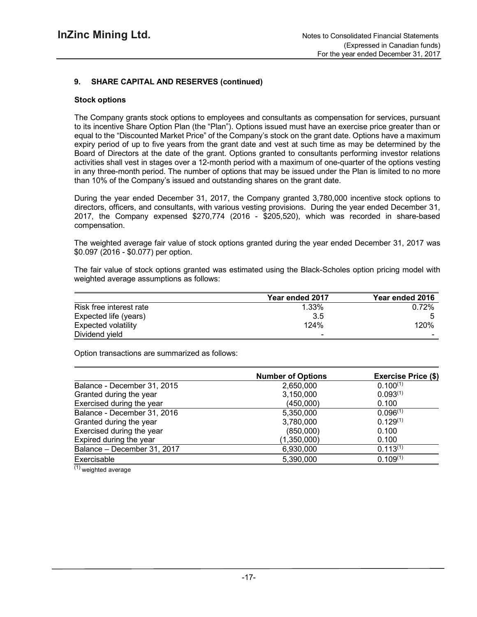## **9. SHARE CAPITAL AND RESERVES (continued)**

#### **Stock options**

The Company grants stock options to employees and consultants as compensation for services, pursuant to its incentive Share Option Plan (the "Plan"). Options issued must have an exercise price greater than or equal to the "Discounted Market Price" of the Company's stock on the grant date. Options have a maximum expiry period of up to five years from the grant date and vest at such time as may be determined by the Board of Directors at the date of the grant. Options granted to consultants performing investor relations activities shall vest in stages over a 12-month period with a maximum of one-quarter of the options vesting in any three-month period. The number of options that may be issued under the Plan is limited to no more than 10% of the Company's issued and outstanding shares on the grant date.

During the year ended December 31, 2017, the Company granted 3,780,000 incentive stock options to directors, officers, and consultants, with various vesting provisions. During the year ended December 31, 2017, the Company expensed \$270,774 (2016 - \$205,520), which was recorded in share-based compensation.

The weighted average fair value of stock options granted during the year ended December 31, 2017 was \$0.097 (2016 - \$0.077) per option.

The fair value of stock options granted was estimated using the Black-Scholes option pricing model with weighted average assumptions as follows:

|                            | Year ended 2017 | Year ended 2016 |
|----------------------------|-----------------|-----------------|
| Risk free interest rate    | 1.33%           | 0.72%           |
| Expected life (years)      | 3.5             |                 |
| <b>Expected volatility</b> | 124%            | 120%            |
| Dividend yield             | -               |                 |

Option transactions are summarized as follows:

|                             | <b>Number of Options</b> | <b>Exercise Price (\$)</b> |
|-----------------------------|--------------------------|----------------------------|
| Balance - December 31, 2015 | 2,650,000                | $0.100^{(1)}$              |
| Granted during the year     | 3,150,000                | 0.093(1)                   |
| Exercised during the year   | (450,000)                | 0.100                      |
| Balance - December 31, 2016 | 5,350,000                | 0.096(1)                   |
| Granted during the year     | 3,780,000                | $0.129^{(1)}$              |
| Exercised during the year   | (850,000)                | 0.100                      |
| Expired during the year     | (1,350,000)              | 0.100                      |
| Balance - December 31, 2017 | 6,930,000                | $0.113^{(1)}$              |
| Exercisable                 | 5,390,000                | $0.109^{(1)}$              |
|                             |                          |                            |

(1) weighted average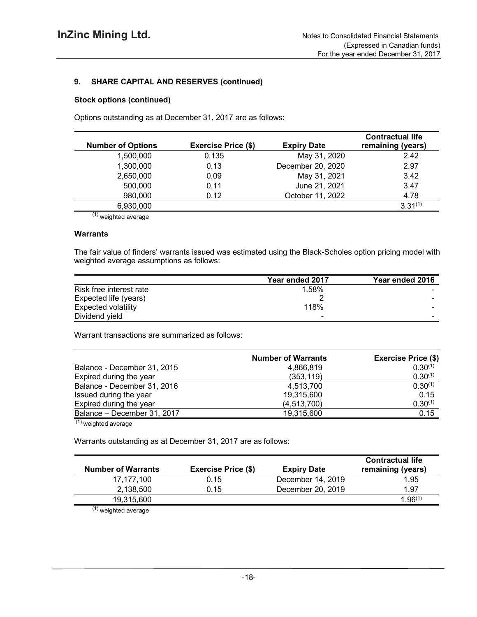## **9. SHARE CAPITAL AND RESERVES (continued)**

#### **Stock options (continued)**

Options outstanding as at December 31, 2017 are as follows:

| <b>Number of Options</b> | Exercise Price (\$) | <b>Expiry Date</b> | <b>Contractual life</b><br>remaining (years) |
|--------------------------|---------------------|--------------------|----------------------------------------------|
| 1,500,000                | 0.135               | May 31, 2020       | 2.42                                         |
| 1,300,000                | 0.13                | December 20, 2020  | 2.97                                         |
| 2,650,000                | 0.09                | May 31, 2021       | 3.42                                         |
| 500,000                  | 0.11                | June 21, 2021      | 3.47                                         |
| 980,000                  | 0.12                | October 11, 2022   | 4.78                                         |
| 6,930,000                |                     |                    | $3.31^{(1)}$                                 |

 $\sqrt{(1)}$  weighted average

#### **Warrants**

The fair value of finders' warrants issued was estimated using the Black-Scholes option pricing model with weighted average assumptions as follows:

|                            | Year ended 2017          | Year ended 2016          |
|----------------------------|--------------------------|--------------------------|
| Risk free interest rate    | 1.58%                    |                          |
| Expected life (years)      |                          |                          |
| <b>Expected volatility</b> | 118%                     |                          |
| Dividend yield             | $\overline{\phantom{0}}$ | $\overline{\phantom{a}}$ |

Warrant transactions are summarized as follows:

| <b>Number of Warrants</b> | Exercise Price (\$) |
|---------------------------|---------------------|
| 4,866,819                 | $0.30^{(1)}$        |
| (353, 119)                | $0.30^{(1)}$        |
| 4,513,700                 | $0.30^{(1)}$        |
| 19,315,600                | 0.15                |
| (4,513,700)               | $0.30^{(1)}$        |
| 19,315,600                | 0.15                |
|                           |                     |

 $(1)$  weighted average

Warrants outstanding as at December 31, 2017 are as follows:

| <b>Number of Warrants</b> | <b>Exercise Price (\$)</b> | <b>Expiry Date</b> | <b>Contractual life</b><br>remaining (years) |
|---------------------------|----------------------------|--------------------|----------------------------------------------|
| 17.177.100                | 0.15                       | December 14, 2019  | 1.95                                         |
| 2.138.500                 | 0.15                       | December 20, 2019  | 1.97                                         |
| 19,315,600                |                            |                    | $1.96^{(1)}$                                 |
|                           |                            |                    |                                              |

 $(1)$  weighted average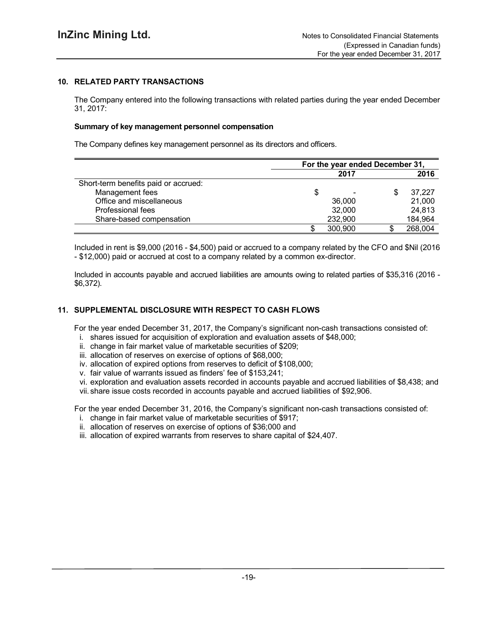## **10. RELATED PARTY TRANSACTIONS**

The Company entered into the following transactions with related parties during the year ended December 31, 2017:

#### **Summary of key management personnel compensation**

The Company defines key management personnel as its directors and officers.

|                                      |      | For the year ended December 31, |   |         |  |
|--------------------------------------|------|---------------------------------|---|---------|--|
|                                      | 2017 |                                 |   | 2016    |  |
| Short-term benefits paid or accrued: |      |                                 |   |         |  |
| Management fees                      | \$   |                                 | S | 37,227  |  |
| Office and miscellaneous             |      | 36,000                          |   | 21,000  |  |
| Professional fees                    |      | 32,000                          |   | 24,813  |  |
| Share-based compensation             |      | 232,900                         |   | 184,964 |  |
|                                      |      | 300,900                         |   | 268,004 |  |

Included in rent is \$9,000 (2016 - \$4,500) paid or accrued to a company related by the CFO and \$Nil (2016 - \$12,000) paid or accrued at cost to a company related by a common ex-director.

Included in accounts payable and accrued liabilities are amounts owing to related parties of \$35,316 (2016 - \$6,372).

## **11. SUPPLEMENTAL DISCLOSURE WITH RESPECT TO CASH FLOWS**

For the year ended December 31, 2017, the Company's significant non-cash transactions consisted of:

- i. shares issued for acquisition of exploration and evaluation assets of \$48,000;
- ii. change in fair market value of marketable securities of \$209;
- iii. allocation of reserves on exercise of options of \$68,000;
- iv. allocation of expired options from reserves to deficit of \$108,000;
- v. fair value of warrants issued as finders' fee of \$153,241;
- vi. exploration and evaluation assets recorded in accounts payable and accrued liabilities of \$8,438; and vii. share issue costs recorded in accounts payable and accrued liabilities of \$92,906.

For the year ended December 31, 2016, the Company's significant non-cash transactions consisted of:

- i. change in fair market value of marketable securities of \$917;
- ii. allocation of reserves on exercise of options of \$36;000 and
- iii. allocation of expired warrants from reserves to share capital of \$24,407.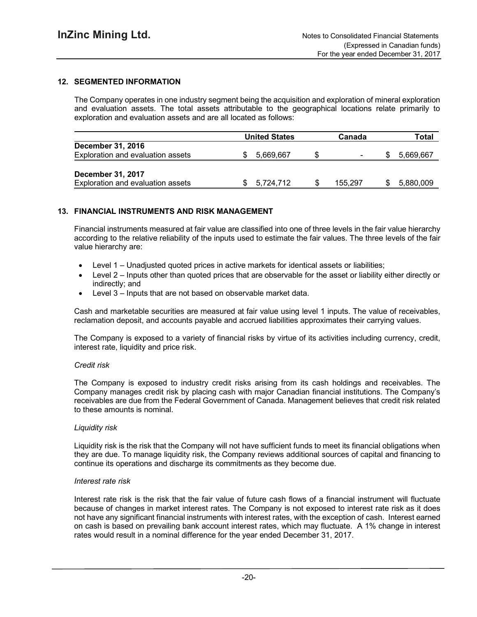## **12. SEGMENTED INFORMATION**

The Company operates in one industry segment being the acquisition and exploration of mineral exploration and evaluation assets. The total assets attributable to the geographical locations relate primarily to exploration and evaluation assets and are all located as follows:

|                                                               | <b>United States</b> |   | Canada  | Total     |
|---------------------------------------------------------------|----------------------|---|---------|-----------|
| <b>December 31, 2016</b><br>Exploration and evaluation assets | 5.669.667            | S |         | 5,669,667 |
| <b>December 31, 2017</b><br>Exploration and evaluation assets | 5,724,712            |   | 155.297 | 5,880,009 |

#### **13. FINANCIAL INSTRUMENTS AND RISK MANAGEMENT**

Financial instruments measured at fair value are classified into one of three levels in the fair value hierarchy according to the relative reliability of the inputs used to estimate the fair values. The three levels of the fair value hierarchy are:

- Level 1 Unadjusted quoted prices in active markets for identical assets or liabilities;
- Level 2 Inputs other than quoted prices that are observable for the asset or liability either directly or indirectly; and
- Level 3 Inputs that are not based on observable market data.

Cash and marketable securities are measured at fair value using level 1 inputs. The value of receivables, reclamation deposit, and accounts payable and accrued liabilities approximates their carrying values.

The Company is exposed to a variety of financial risks by virtue of its activities including currency, credit, interest rate, liquidity and price risk.

#### *Credit risk*

The Company is exposed to industry credit risks arising from its cash holdings and receivables. The Company manages credit risk by placing cash with major Canadian financial institutions. The Company's receivables are due from the Federal Government of Canada. Management believes that credit risk related to these amounts is nominal.

#### *Liquidity risk*

Liquidity risk is the risk that the Company will not have sufficient funds to meet its financial obligations when they are due. To manage liquidity risk, the Company reviews additional sources of capital and financing to continue its operations and discharge its commitments as they become due.

#### *Interest rate risk*

Interest rate risk is the risk that the fair value of future cash flows of a financial instrument will fluctuate because of changes in market interest rates. The Company is not exposed to interest rate risk as it does not have any significant financial instruments with interest rates, with the exception of cash. Interest earned on cash is based on prevailing bank account interest rates, which may fluctuate. A 1% change in interest rates would result in a nominal difference for the year ended December 31, 2017.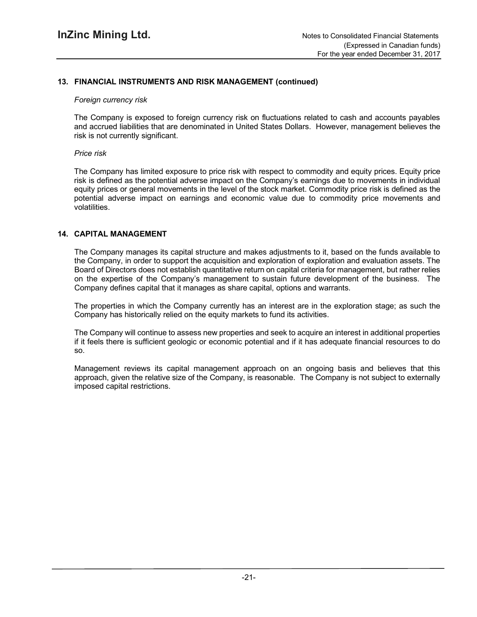### **13. FINANCIAL INSTRUMENTS AND RISK MANAGEMENT (continued)**

#### *Foreign currency risk*

The Company is exposed to foreign currency risk on fluctuations related to cash and accounts payables and accrued liabilities that are denominated in United States Dollars. However, management believes the risk is not currently significant.

#### *Price risk*

The Company has limited exposure to price risk with respect to commodity and equity prices. Equity price risk is defined as the potential adverse impact on the Company's earnings due to movements in individual equity prices or general movements in the level of the stock market. Commodity price risk is defined as the potential adverse impact on earnings and economic value due to commodity price movements and volatilities.

#### **14. CAPITAL MANAGEMENT**

The Company manages its capital structure and makes adjustments to it, based on the funds available to the Company, in order to support the acquisition and exploration of exploration and evaluation assets. The Board of Directors does not establish quantitative return on capital criteria for management, but rather relies on the expertise of the Company's management to sustain future development of the business. The Company defines capital that it manages as share capital, options and warrants.

The properties in which the Company currently has an interest are in the exploration stage; as such the Company has historically relied on the equity markets to fund its activities.

The Company will continue to assess new properties and seek to acquire an interest in additional properties if it feels there is sufficient geologic or economic potential and if it has adequate financial resources to do so.

Management reviews its capital management approach on an ongoing basis and believes that this approach, given the relative size of the Company, is reasonable. The Company is not subject to externally imposed capital restrictions.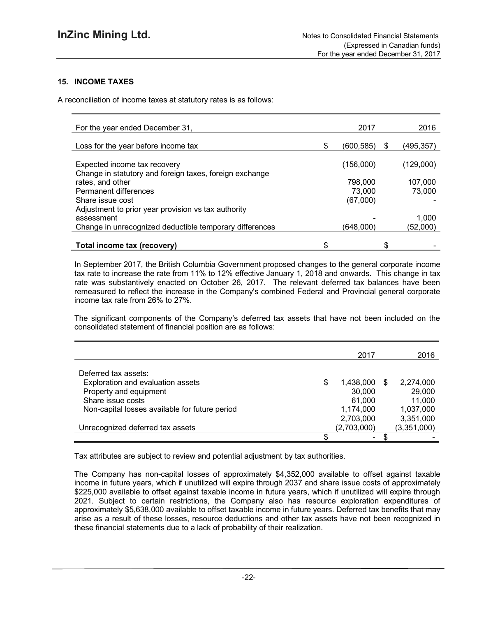## **15. INCOME TAXES**

A reconciliation of income taxes at statutory rates is as follows:

| For the year ended December 31,                                             | 2017               |    | 2016      |
|-----------------------------------------------------------------------------|--------------------|----|-----------|
| Loss for the year before income tax                                         | \$<br>(600, 585)   | S. | (495,357) |
| Expected income tax recovery                                                | (156,000)          |    | (129,000) |
| Change in statutory and foreign taxes, foreign exchange<br>rates, and other | 798,000            |    | 107,000   |
| Permanent differences<br>Share issue cost                                   | 73,000<br>(67,000) |    | 73,000    |
| Adjustment to prior year provision vs tax authority<br>assessment           |                    |    | 1,000     |
| Change in unrecognized deductible temporary differences                     | (648,000)          |    | (52,000)  |
| Total income tax (recovery)                                                 | \$                 | \$ |           |

In September 2017, the British Columbia Government proposed changes to the general corporate income tax rate to increase the rate from 11% to 12% effective January 1, 2018 and onwards. This change in tax rate was substantively enacted on October 26, 2017. The relevant deferred tax balances have been remeasured to reflect the increase in the Company's combined Federal and Provincial general corporate income tax rate from 26% to 27%.

The significant components of the Company's deferred tax assets that have not been included on the consolidated statement of financial position are as follows:

|                                                |    | 2017                     |     | 2016        |
|------------------------------------------------|----|--------------------------|-----|-------------|
| Deferred tax assets:                           |    |                          |     |             |
| Exploration and evaluation assets              | S  | 1,438,000                | \$. | 2,274,000   |
| Property and equipment                         |    | 30,000                   |     | 29,000      |
| Share issue costs                              |    | 61,000                   |     | 11,000      |
| Non-capital losses available for future period |    | 1,174,000                |     | 1,037,000   |
|                                                |    | 2,703,000                |     | 3,351,000   |
| Unrecognized deferred tax assets               |    | (2,703,000)              |     | (3,351,000) |
|                                                | S. | $\overline{\phantom{0}}$ |     |             |

Tax attributes are subject to review and potential adjustment by tax authorities.

The Company has non-capital losses of approximately \$4,352,000 available to offset against taxable income in future years, which if unutilized will expire through 2037 and share issue costs of approximately \$225,000 available to offset against taxable income in future years, which if unutilized will expire through 2021. Subject to certain restrictions, the Company also has resource exploration expenditures of approximately \$5,638,000 available to offset taxable income in future years. Deferred tax benefits that may arise as a result of these losses, resource deductions and other tax assets have not been recognized in these financial statements due to a lack of probability of their realization.